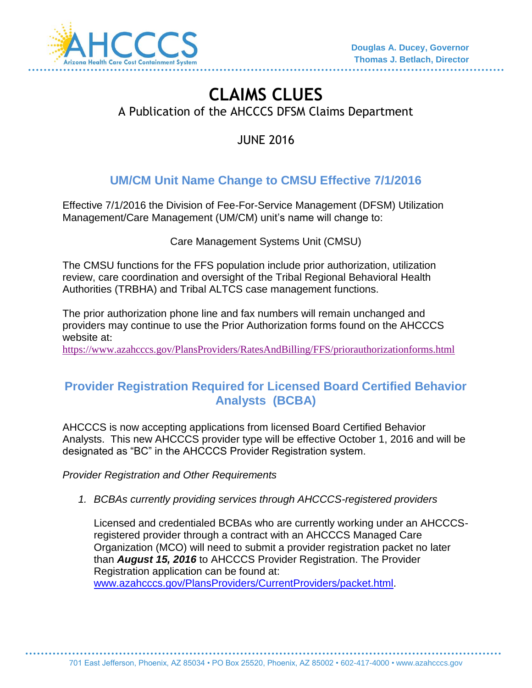

# **CLAIMS CLUES**  A Publication of the AHCCCS DFSM Claims Department

JUNE 2016

## **UM/CM Unit Name Change to CMSU Effective 7/1/2016**

Effective 7/1/2016 the Division of Fee-For-Service Management (DFSM) Utilization Management/Care Management (UM/CM) unit's name will change to:

Care Management Systems Unit (CMSU)

The CMSU functions for the FFS population include prior authorization, utilization review, care coordination and oversight of the Tribal Regional Behavioral Health Authorities (TRBHA) and Tribal ALTCS case management functions.

The prior authorization phone line and fax numbers will remain unchanged and providers may continue to use the Prior Authorization forms found on the AHCCCS website at:

<https://www.azahcccs.gov/PlansProviders/RatesAndBilling/FFS/priorauthorizationforms.html>

### **Provider Registration Required for Licensed Board Certified Behavior Analysts (BCBA)**

AHCCCS is now accepting applications from licensed Board Certified Behavior Analysts. This new AHCCCS provider type will be effective October 1, 2016 and will be designated as "BC" in the AHCCCS Provider Registration system.

*Provider Registration and Other Requirements* 

*1. BCBAs currently providing services through AHCCCS-registered providers*

Licensed and credentialed BCBAs who are currently working under an AHCCCSregistered provider through a contract with an AHCCCS Managed Care Organization (MCO) will need to submit a provider registration packet no later than *August 15, 2016* to AHCCCS Provider Registration. The Provider Registration application can be found at: [www.azahcccs.gov/PlansProviders/CurrentProviders/packet.html.](http://www.azahcccs.gov/PlansProviders/CurrentProviders/packet.html)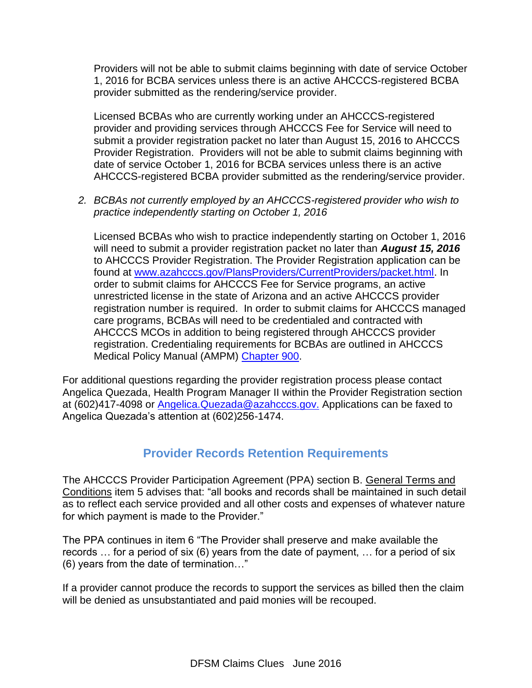Providers will not be able to submit claims beginning with date of service October 1, 2016 for BCBA services unless there is an active AHCCCS-registered BCBA provider submitted as the rendering/service provider.

Licensed BCBAs who are currently working under an AHCCCS-registered provider and providing services through AHCCCS Fee for Service will need to submit a provider registration packet no later than August 15, 2016 to AHCCCS Provider Registration. Providers will not be able to submit claims beginning with date of service October 1, 2016 for BCBA services unless there is an active AHCCCS-registered BCBA provider submitted as the rendering/service provider.

*2. BCBAs not currently employed by an AHCCCS-registered provider who wish to practice independently starting on October 1, 2016*

Licensed BCBAs who wish to practice independently starting on October 1, 2016 will need to submit a provider registration packet no later than *August 15, 2016* to AHCCCS Provider Registration. The Provider Registration application can be found at [www.azahcccs.gov/PlansProviders/CurrentProviders/packet.html.](http://www.azahcccs.gov/PlansProviders/CurrentProviders/packet.html) In order to submit claims for AHCCCS Fee for Service programs, an active unrestricted license in the state of Arizona and an active AHCCCS provider registration number is required. In order to submit claims for AHCCCS managed care programs, BCBAs will need to be credentialed and contracted with AHCCCS MCOs in addition to being registered through AHCCCS provider registration. Credentialing requirements for BCBAs are outlined in AHCCCS Medical Policy Manual (AMPM) [Chapter](https://www.azahcccs.gov/shared/Downloads/MedicalPolicyManual/Chap900.pdf) 900.

For additional questions regarding the provider registration process please contact Angelica Quezada, Health Program Manager II within the Provider Registration section at (602)417-4098 or [Angelica.Quezada@azahcccs.gov.](mailto:Angelica.Quezada@azahcccs.gov) Applications can be faxed to Angelica Quezada's attention at (602)256-1474.

#### **Provider Records Retention Requirements**

The AHCCCS Provider Participation Agreement (PPA) section B. General Terms and Conditions item 5 advises that: "all books and records shall be maintained in such detail as to reflect each service provided and all other costs and expenses of whatever nature for which payment is made to the Provider."

The PPA continues in item 6 "The Provider shall preserve and make available the records … for a period of six (6) years from the date of payment, … for a period of six (6) years from the date of termination…"

If a provider cannot produce the records to support the services as billed then the claim will be denied as unsubstantiated and paid monies will be recouped.